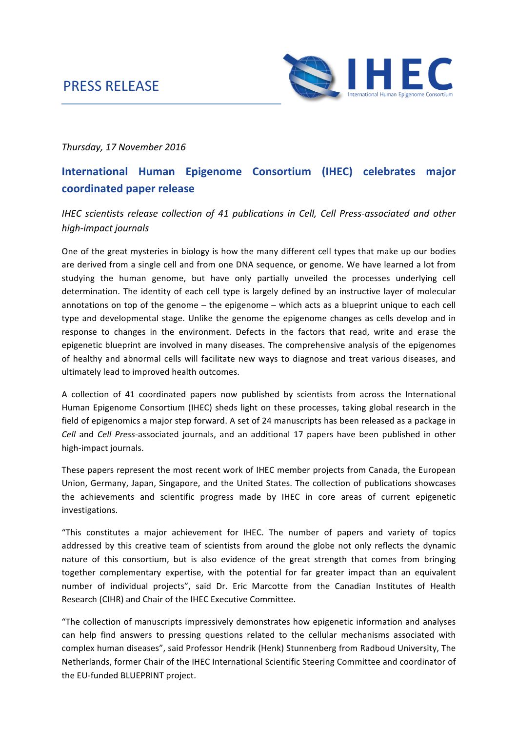# PRESS RELEASE



# *Thursday, 17 November 2016*

# **International Human Epigenome Consortium (IHEC) celebrates major coordinated paper release**

# *IHEC* scientists release collection of 41 publications in Cell, Cell Press-associated and other *high-impact journals*

One of the great mysteries in biology is how the many different cell types that make up our bodies are derived from a single cell and from one DNA sequence, or genome. We have learned a lot from studying the human genome, but have only partially unveiled the processes underlying cell determination. The identity of each cell type is largely defined by an instructive layer of molecular annotations on top of the genome  $-$  the epigenome  $-$  which acts as a blueprint unique to each cell type and developmental stage. Unlike the genome the epigenome changes as cells develop and in response to changes in the environment. Defects in the factors that read, write and erase the epigenetic blueprint are involved in many diseases. The comprehensive analysis of the epigenomes of healthy and abnormal cells will facilitate new ways to diagnose and treat various diseases, and ultimately lead to improved health outcomes.

A collection of 41 coordinated papers now published by scientists from across the International Human Epigenome Consortium (IHEC) sheds light on these processes, taking global research in the field of epigenomics a major step forward. A set of 24 manuscripts has been released as a package in *Cell* and *Cell Press-associated journals, and an additional 17 papers have been published in other* high-impact journals.

These papers represent the most recent work of IHEC member projects from Canada, the European Union, Germany, Japan, Singapore, and the United States. The collection of publications showcases the achievements and scientific progress made by IHEC in core areas of current epigenetic investigations.

"This constitutes a major achievement for IHEC. The number of papers and variety of topics addressed by this creative team of scientists from around the globe not only reflects the dynamic nature of this consortium, but is also evidence of the great strength that comes from bringing together complementary expertise, with the potential for far greater impact than an equivalent number of individual projects", said Dr. Eric Marcotte from the Canadian Institutes of Health Research (CIHR) and Chair of the IHEC Executive Committee.

"The collection of manuscripts impressively demonstrates how epigenetic information and analyses can help find answers to pressing questions related to the cellular mechanisms associated with complex human diseases", said Professor Hendrik (Henk) Stunnenberg from Radboud University, The Netherlands, former Chair of the IHEC International Scientific Steering Committee and coordinator of the EU-funded BLUEPRINT project.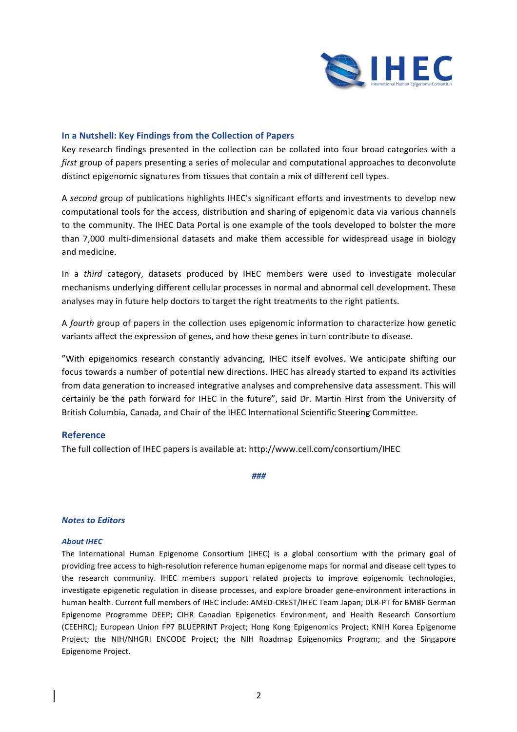

## **In a Nutshell: Key Findings from the Collection of Papers**

Key research findings presented in the collection can be collated into four broad categories with a *first* group of papers presenting a series of molecular and computational approaches to deconvolute distinct epigenomic signatures from tissues that contain a mix of different cell types.

A second group of publications highlights IHEC's significant efforts and investments to develop new computational tools for the access, distribution and sharing of epigenomic data via various channels to the community. The IHEC Data Portal is one example of the tools developed to bolster the more than 7,000 multi-dimensional datasets and make them accessible for widespread usage in biology and medicine.

In a *third* category, datasets produced by IHEC members were used to investigate molecular mechanisms underlying different cellular processes in normal and abnormal cell development. These analyses may in future help doctors to target the right treatments to the right patients.

A *fourth* group of papers in the collection uses epigenomic information to characterize how genetic variants affect the expression of genes, and how these genes in turn contribute to disease.

"With epigenomics research constantly advancing, IHEC itself evolves. We anticipate shifting our focus towards a number of potential new directions. IHEC has already started to expand its activities from data generation to increased integrative analyses and comprehensive data assessment. This will certainly be the path forward for IHEC in the future", said Dr. Martin Hirst from the University of British Columbia, Canada, and Chair of the IHEC International Scientific Steering Committee.

# **Reference**

The full collection of IHEC papers is available at: http://www.cell.com/consortium/IHEC

*###*

## *Notes to Editors*

## **About IHEC**

The International Human Epigenome Consortium (IHEC) is a global consortium with the primary goal of providing free access to high-resolution reference human epigenome maps for normal and disease cell types to the research community. IHEC members support related projects to improve epigenomic technologies, investigate epigenetic regulation in disease processes, and explore broader gene-environment interactions in human health. Current full members of IHEC include: AMED-CREST/IHEC Team Japan; DLR-PT for BMBF German Epigenome Programme DEEP; CIHR Canadian Epigenetics Environment, and Health Research Consortium (CEEHRC); European Union FP7 BLUEPRINT Project; Hong Kong Epigenomics Project; KNIH Korea Epigenome Project; the NIH/NHGRI ENCODE Project; the NIH Roadmap Epigenomics Program; and the Singapore Epigenome Project.